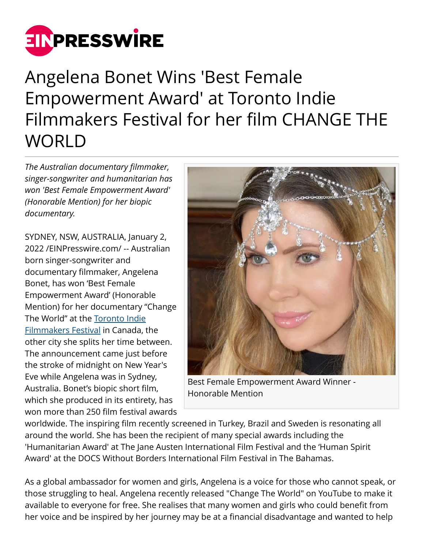

## Angelena Bonet Wins 'Best Female Empowerment Award' at Toronto Indie Filmmakers Festival for her film CHANGE THE WORLD

*The Australian documentary filmmaker, singer-songwriter and humanitarian has won 'Best Female Empowerment Award' (Honorable Mention) for her biopic documentary.*

SYDNEY, NSW, AUSTRALIA, January 2, 2022 /[EINPresswire.com](http://www.einpresswire.com)/ -- Australian born singer-songwriter and documentary filmmaker, Angelena Bonet, has won 'Best Female Empowerment Award' (Honorable Mention) for her documentary "Change The World" at the [Toronto Indie](https://www.torontoindiefestival.com/post/december-2021) [Filmmakers Festival](https://www.torontoindiefestival.com/post/december-2021) in Canada, the other city she splits her time between. The announcement came just before the stroke of midnight on New Year's Eve while Angelena was in Sydney, Australia. Bonet's biopic short film, which she produced in its entirety, has won more than 250 film festival awards



Best Female Empowerment Award Winner - Honorable Mention

worldwide. The inspiring film recently screened in Turkey, Brazil and Sweden is resonating all around the world. She has been the recipient of many special awards including the 'Humanitarian Award' at The Jane Austen International Film Festival and the 'Human Spirit Award' at the DOCS Without Borders International Film Festival in The Bahamas.

As a global ambassador for women and girls, Angelena is a voice for those who cannot speak, or those struggling to heal. Angelena recently released "Change The World" on YouTube to make it available to everyone for free. She realises that many women and girls who could benefit from her voice and be inspired by her journey may be at a financial disadvantage and wanted to help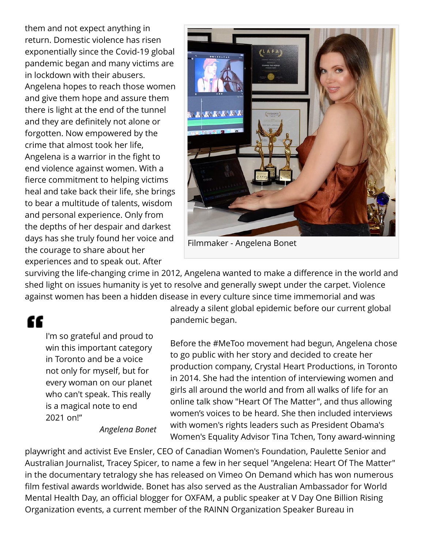them and not expect anything in return. Domestic violence has risen exponentially since the Covid-19 global pandemic began and many victims are in lockdown with their abusers. Angelena hopes to reach those women and give them hope and assure them there is light at the end of the tunnel and they are definitely not alone or forgotten. Now empowered by the crime that almost took her life, Angelena is a warrior in the fight to end violence against women. With a fierce commitment to helping victims heal and take back their life, she brings to bear a multitude of talents, wisdom and personal experience. Only from the depths of her despair and darkest days has she truly found her voice and the courage to share about her experiences and to speak out. After



Filmmaker - Angelena Bonet

surviving the life-changing crime in 2012, Angelena wanted to make a difference in the world and shed light on issues humanity is yet to resolve and generally swept under the carpet. Violence against women has been a hidden disease in every culture since time immemorial and was

££

I'm so grateful and proud to win this important category in Toronto and be a voice not only for myself, but for every woman on our planet who can't speak. This really is a magical note to end 2021 on!"

*Angelena Bonet*

already a silent global epidemic before our current global pandemic began.

Before the #MeToo movement had begun, Angelena chose to go public with her story and decided to create her production company, Crystal Heart Productions, in Toronto in 2014. She had the intention of interviewing women and girls all around the world and from all walks of life for an online talk show "Heart Of The Matter", and thus allowing women's voices to be heard. She then included interviews with women's rights leaders such as President Obama's Women's Equality Advisor Tina Tchen, Tony award-winning

playwright and activist Eve Ensler, CEO of Canadian Women's Foundation, Paulette Senior and Australian Journalist, Tracey Spicer, to name a few in her sequel "Angelena: Heart Of The Matter" in the documentary tetralogy she has released on Vimeo On Demand which has won numerous film festival awards worldwide. Bonet has also served as the Australian Ambassador for World Mental Health Day, an official blogger for OXFAM, a public speaker at V Day One Billion Rising Organization events, a current member of the RAINN Organization Speaker Bureau in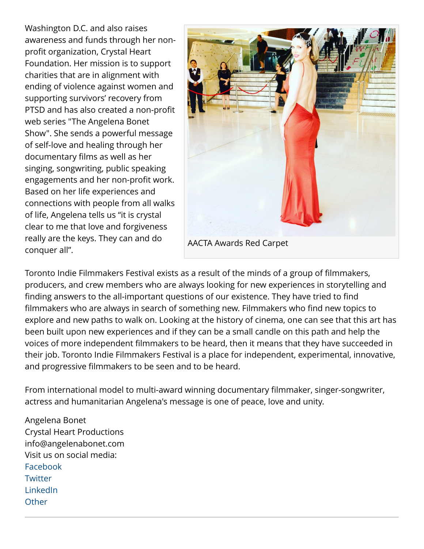Washington D.C. and also raises awareness and funds through her nonprofit organization, Crystal Heart Foundation. Her mission is to support charities that are in alignment with ending of violence against women and supporting survivors' recovery from PTSD and has also created a non-profit web series "The Angelena Bonet Show". She sends a powerful message of self-love and healing through her documentary films as well as her singing, songwriting, public speaking engagements and her non-profit work. Based on her life experiences and connections with people from all walks of life, Angelena tells us "it is crystal clear to me that love and forgiveness really are the keys. They can and do conquer all".



Toronto Indie Filmmakers Festival exists as a result of the minds of a group of filmmakers, producers, and crew members who are always looking for new experiences in storytelling and finding answers to the all-important questions of our existence. They have tried to find filmmakers who are always in search of something new. Filmmakers who find new topics to explore and new paths to walk on. Looking at the history of cinema, one can see that this art has been built upon new experiences and if they can be a small candle on this path and help the voices of more independent filmmakers to be heard, then it means that they have succeeded in their job. Toronto Indie Filmmakers Festival is a place for independent, experimental, innovative, and progressive filmmakers to be seen and to be heard.

From international model to multi-award winning documentary filmmaker, singer-songwriter, actress and humanitarian Angelena's message is one of peace, love and unity.

Angelena Bonet Crystal Heart Productions info@angelenabonet.com Visit us on social media: [Facebook](https://www.facebook.com/angelenabonetofficial/) **[Twitter](https://twitter.com/angelenabonet)** [LinkedIn](https://www.linkedin.com/in/angelena-bonet-692a397a/) **[Other](https://www.instagram.com/angelenabonet/)**